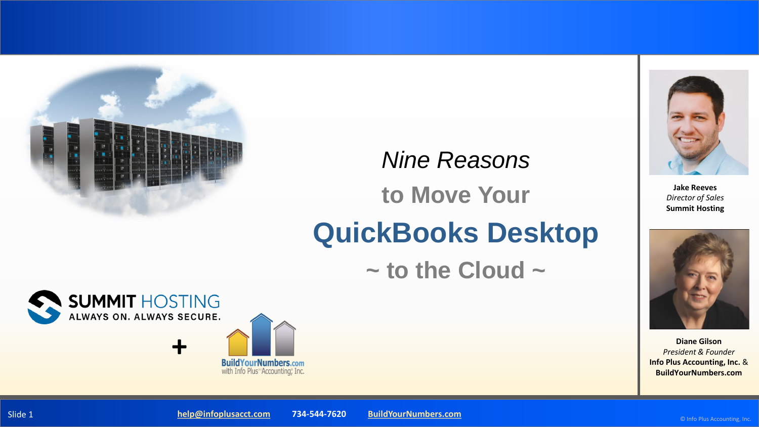

# *Nine Reasons* **to Move Your QuickBooks Desktop**

**~ to the Cloud ~**







**Jake Reeves** *Director of Sales*  **Summit Hosting**

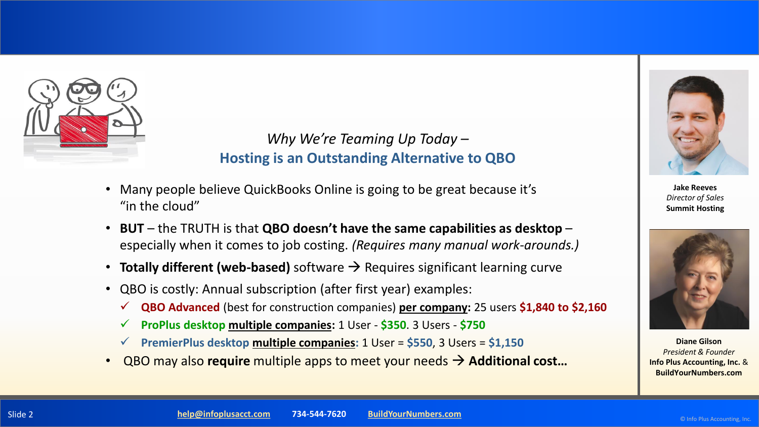

#### *Why We're Teaming Up Today –* **Hosting is an Outstanding Alternative to QBO**

- Many people believe QuickBooks Online is going to be great because it's "in the cloud"
- **BUT**  the TRUTH is that **QBO doesn't have the same capabilities as desktop**  especially when it comes to job costing. *(Requires many manual work-arounds.)*
- **Totally different (web-based)** software → Requires significant learning curve
- QBO is costly: Annual subscription (after first year) examples:
	- ✓ **QBO Advanced** (best for construction companies) **per company:** 25 users **\$1,840 to \$2,160**
	- **ProPlus desktop multiple companies:** 1 User \$350. 3 Users \$750
	- ✓ **PremierPlus desktop multiple companies:** 1 User = **\$550**, 3 Users = **\$1,150**
- QBO may also **require** multiple apps to meet your needs → **Additional cost…**



**Jake Reeves** *Director of Sales*  **Summit Hosting**



**Diane Gilson** *President & Founder* **Info Plus Accounting, Inc.** & **BuildYourNumbers.com**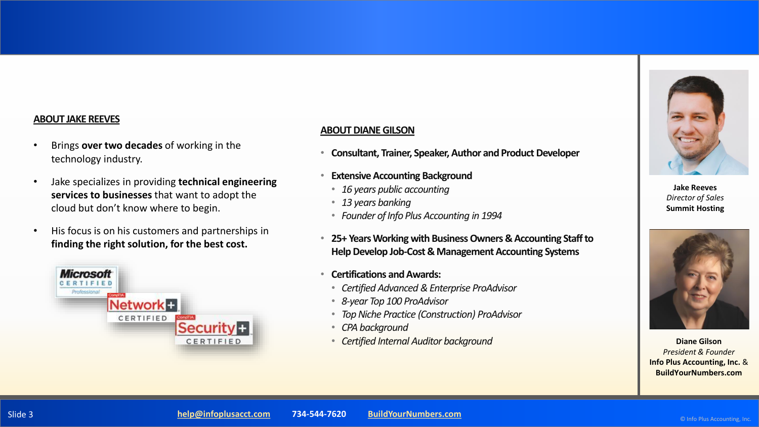#### **ABOUT JAKE REEVES**

- Brings **over two decades** of working in the technology industry.
- Jake specializes in providing **technical engineering services to businesses** that want to adopt the cloud but don't know where to begin.
- His focus is on his customers and partnerships in **finding the right solution, for the best cost.**



#### **ABOUT DIANE GILSON**

- **Consultant, Trainer, Speaker, Author and Product Developer**
- **Extensive Accounting Background** 
	- *16 years public accounting*
	- *13 years banking*
	- *Founder of Info Plus Accounting in 1994*
- **25+ Years Working with Business Owners & Accounting Staff to Help Develop Job-Cost & Management Accounting Systems**
- **Certifications and Awards:**
	- *Certified Advanced & Enterprise ProAdvisor*
	- *8-year Top 100 ProAdvisor*
	- *Top Niche Practice (Construction) ProAdvisor*
	- *CPA background*
- *Certified Internal Auditor background*



**Jake Reeves** *Director of Sales*  **Summit Hosting**



**Diane Gilson** *President & Founder* **Info Plus Accounting, Inc.** & **BuildYourNumbers.com**

© Info Plus Accounting, Inc.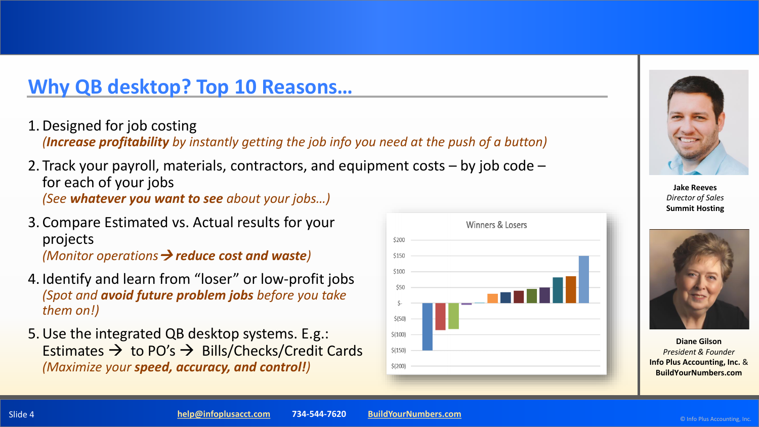### **Why QB desktop? Top 10 Reasons…**

1.Designed for job costing

*(Increase profitability by instantly getting the job info you need at the push of a button)*

- 2. Track your payroll, materials, contractors, and equipment costs by job code for each of your jobs *(See whatever you want to see about your jobs…)*
- 3. Compare Estimated vs. Actual results for your projects *(Monitor operations*→ *reduce cost and waste)*
- 4. Identify and learn from "loser" or low-profit jobs *(Spot and avoid future problem jobs before you take them on!)*
- 5.Use the integrated QB desktop systems. E.g.: Estimates  $\rightarrow$  to PO's  $\rightarrow$  Bills/Checks/Credit Cards *(Maximize your speed, accuracy, and control!)*





**Jake Reeves** *Director of Sales*  **Summit Hosting**

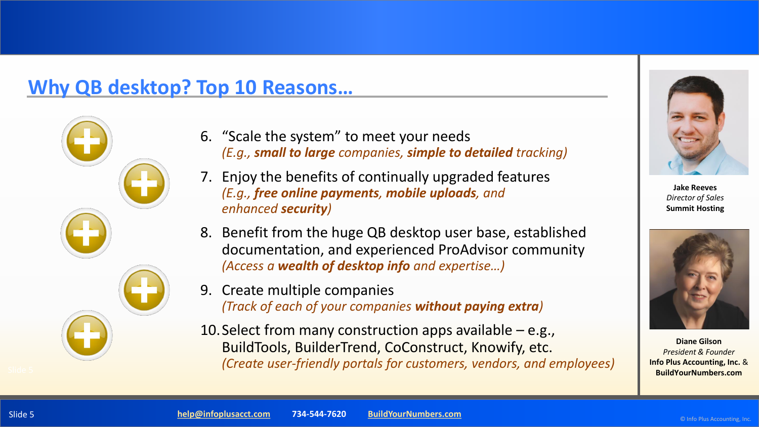### **Why QB desktop? Top 10 Reasons…**



- 6. "Scale the system" to meet your needs *(E.g., small to large companies, simple to detailed tracking)*
- 7. Enjoy the benefits of continually upgraded features *(E.g., free online payments, mobile uploads, and enhanced security)*
- 8. Benefit from the huge QB desktop user base, established documentation, and experienced ProAdvisor community *(Access a wealth of desktop info and expertise…)*
- 9. Create multiple companies *(Track of each of your companies without paying extra)*
- 10. Select from many construction apps available  $-$  e.g., BuildTools, BuilderTrend, CoConstruct, Knowify, etc. *(Create user-friendly portals for customers, vendors, and employees)*



**Jake Reeves** *Director of Sales*  **Summit Hosting**

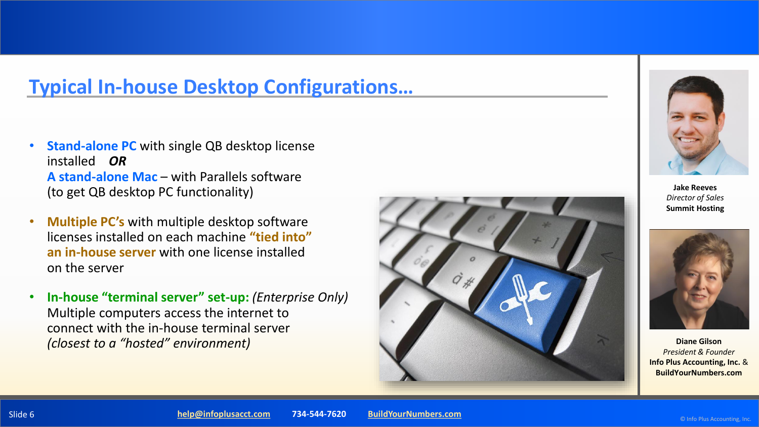## **Typical In-house Desktop Configurations…**

- **Stand-alone PC** with single QB desktop license installed *OR* **A stand-alone Mac** – with Parallels software (to get QB desktop PC functionality)
- **Multiple PC's** with multiple desktop software licenses installed on each machine **"tied into" an in-house server** with one license installed on the server
- **In-house "terminal server" set-up:** *(Enterprise Only)* Multiple computers access the internet to connect with the in-house terminal server *(closest to a "hosted" environment)*





**Jake Reeves** *Director of Sales*  **Summit Hosting**